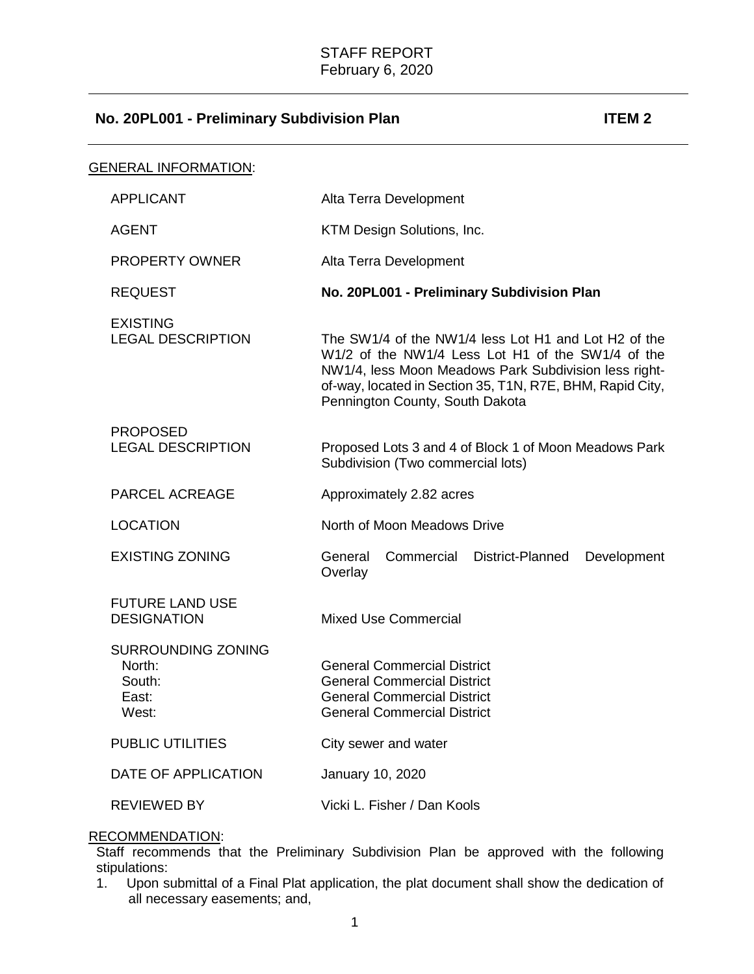# **No. 20PL001 - Preliminary Subdivision Plan ITEM 2**

| Alta Terra Development                                                                                                                                                                                                                                             |
|--------------------------------------------------------------------------------------------------------------------------------------------------------------------------------------------------------------------------------------------------------------------|
| KTM Design Solutions, Inc.                                                                                                                                                                                                                                         |
| Alta Terra Development                                                                                                                                                                                                                                             |
| No. 20PL001 - Preliminary Subdivision Plan                                                                                                                                                                                                                         |
| The SW1/4 of the NW1/4 less Lot H1 and Lot H2 of the<br>W1/2 of the NW1/4 Less Lot H1 of the SW1/4 of the<br>NW1/4, less Moon Meadows Park Subdivision less right-<br>of-way, located in Section 35, T1N, R7E, BHM, Rapid City,<br>Pennington County, South Dakota |
| Proposed Lots 3 and 4 of Block 1 of Moon Meadows Park<br>Subdivision (Two commercial lots)                                                                                                                                                                         |
| Approximately 2.82 acres                                                                                                                                                                                                                                           |
| North of Moon Meadows Drive                                                                                                                                                                                                                                        |
| General<br>Commercial<br>District-Planned<br>Development<br>Overlay                                                                                                                                                                                                |
| <b>Mixed Use Commercial</b>                                                                                                                                                                                                                                        |
| <b>General Commercial District</b><br><b>General Commercial District</b><br><b>General Commercial District</b><br><b>General Commercial District</b>                                                                                                               |
| City sewer and water                                                                                                                                                                                                                                               |
| January 10, 2020                                                                                                                                                                                                                                                   |
| Vicki L. Fisher / Dan Kools                                                                                                                                                                                                                                        |
|                                                                                                                                                                                                                                                                    |

## RECOMMENDATION:

Staff recommends that the Preliminary Subdivision Plan be approved with the following stipulations:

1. Upon submittal of a Final Plat application, the plat document shall show the dedication of all necessary easements; and,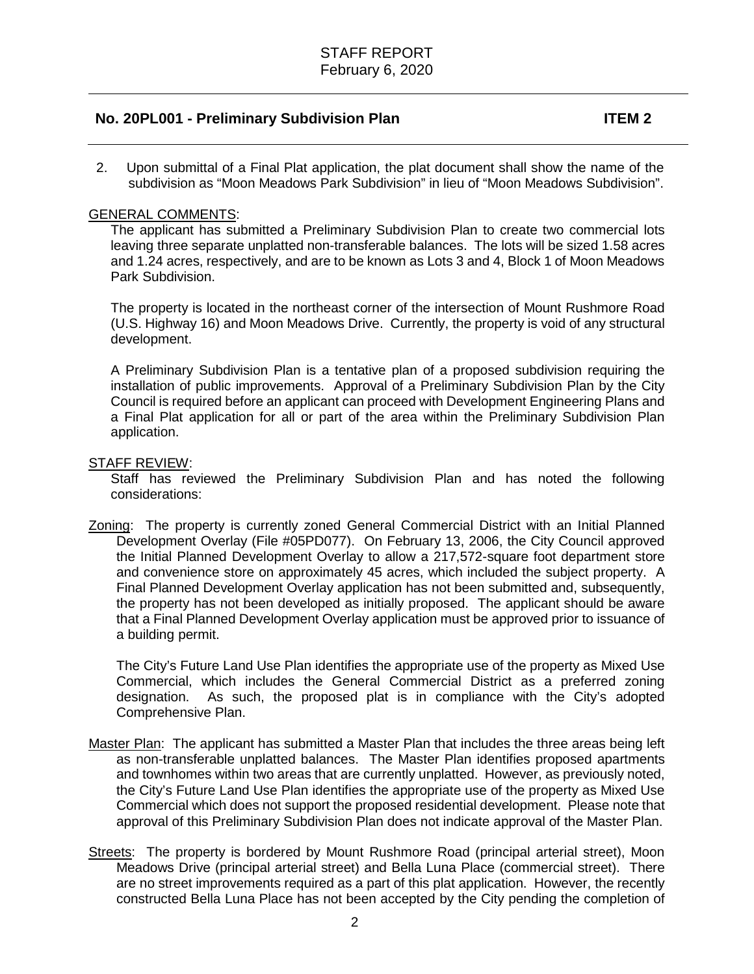## **No. 20PL001 - Preliminary Subdivision Plan ITEM 2**

2. Upon submittal of a Final Plat application, the plat document shall show the name of the subdivision as "Moon Meadows Park Subdivision" in lieu of "Moon Meadows Subdivision".

## GENERAL COMMENTS:

The applicant has submitted a Preliminary Subdivision Plan to create two commercial lots leaving three separate unplatted non-transferable balances. The lots will be sized 1.58 acres and 1.24 acres, respectively, and are to be known as Lots 3 and 4, Block 1 of Moon Meadows Park Subdivision.

The property is located in the northeast corner of the intersection of Mount Rushmore Road (U.S. Highway 16) and Moon Meadows Drive. Currently, the property is void of any structural development.

A Preliminary Subdivision Plan is a tentative plan of a proposed subdivision requiring the installation of public improvements. Approval of a Preliminary Subdivision Plan by the City Council is required before an applicant can proceed with Development Engineering Plans and a Final Plat application for all or part of the area within the Preliminary Subdivision Plan application.

## STAFF REVIEW:

Staff has reviewed the Preliminary Subdivision Plan and has noted the following considerations:

Zoning: The property is currently zoned General Commercial District with an Initial Planned Development Overlay (File #05PD077). On February 13, 2006, the City Council approved the Initial Planned Development Overlay to allow a 217,572-square foot department store and convenience store on approximately 45 acres, which included the subject property. A Final Planned Development Overlay application has not been submitted and, subsequently, the property has not been developed as initially proposed. The applicant should be aware that a Final Planned Development Overlay application must be approved prior to issuance of a building permit.

The City's Future Land Use Plan identifies the appropriate use of the property as Mixed Use Commercial, which includes the General Commercial District as a preferred zoning designation. As such, the proposed plat is in compliance with the City's adopted As such, the proposed plat is in compliance with the City's adopted Comprehensive Plan.

- Master Plan: The applicant has submitted a Master Plan that includes the three areas being left as non-transferable unplatted balances. The Master Plan identifies proposed apartments and townhomes within two areas that are currently unplatted. However, as previously noted, the City's Future Land Use Plan identifies the appropriate use of the property as Mixed Use Commercial which does not support the proposed residential development. Please note that approval of this Preliminary Subdivision Plan does not indicate approval of the Master Plan.
- Streets: The property is bordered by Mount Rushmore Road (principal arterial street), Moon Meadows Drive (principal arterial street) and Bella Luna Place (commercial street). There are no street improvements required as a part of this plat application. However, the recently constructed Bella Luna Place has not been accepted by the City pending the completion of